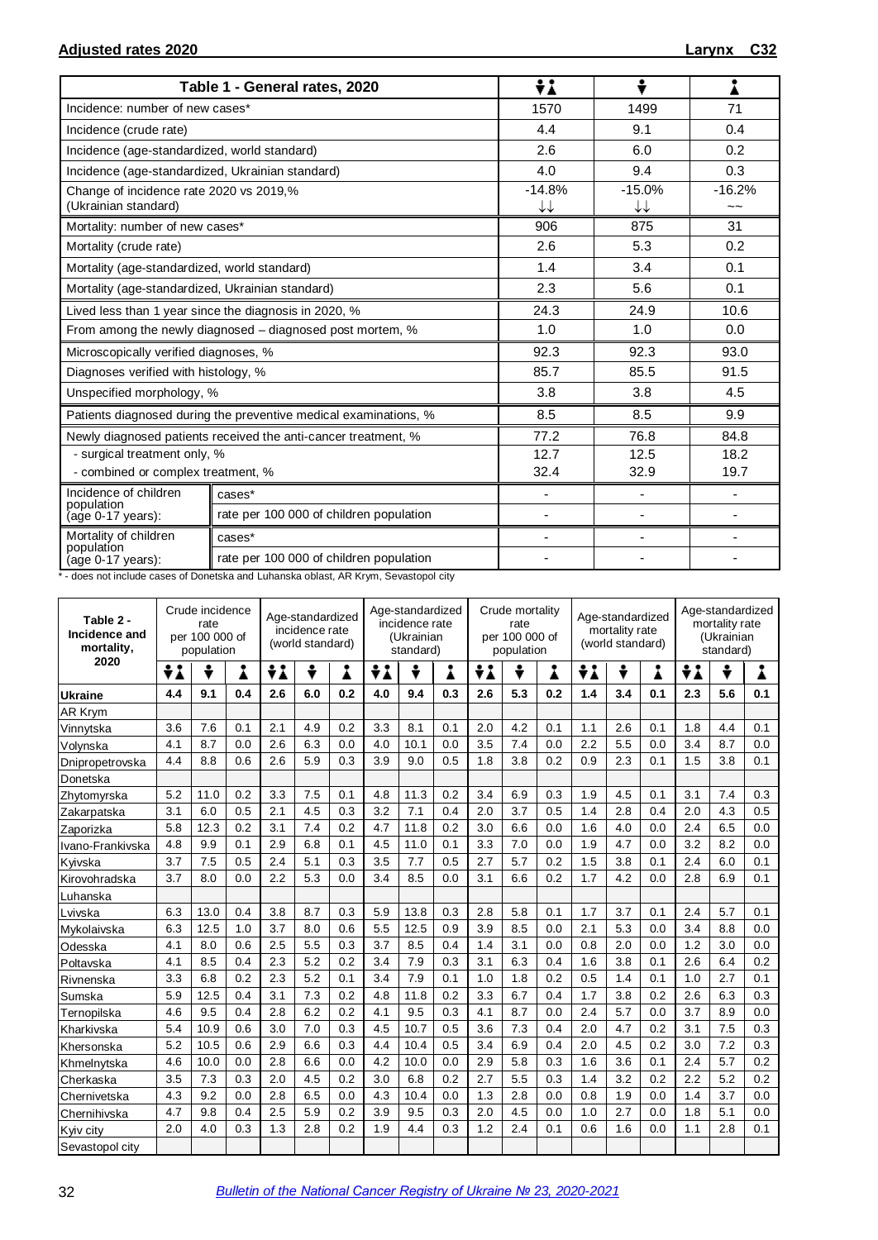|                                                                 | Table 1 - General rates, 2020                                    | ÷i                       | ÷                            |                |  |
|-----------------------------------------------------------------|------------------------------------------------------------------|--------------------------|------------------------------|----------------|--|
| Incidence: number of new cases*                                 |                                                                  | 1570                     | 1499                         | 71             |  |
| Incidence (crude rate)                                          |                                                                  | 4.4                      | 9.1                          | 0.4            |  |
| Incidence (age-standardized, world standard)                    |                                                                  | 2.6                      | 6.0                          | 0.2            |  |
| Incidence (age-standardized, Ukrainian standard)                |                                                                  | 4.0                      | 9.4                          | 0.3            |  |
| Change of incidence rate 2020 vs 2019,%<br>(Ukrainian standard) |                                                                  | $-14.8%$<br>↓↓           | $-15.0%$<br>↓↓               | $-16.2%$<br>~~ |  |
| Mortality: number of new cases*                                 |                                                                  | 906                      | 875                          | 31             |  |
| Mortality (crude rate)                                          |                                                                  | 2.6                      | 5.3                          | 0.2            |  |
| Mortality (age-standardized, world standard)                    |                                                                  | 1.4                      | 3.4                          | 0.1            |  |
| Mortality (age-standardized, Ukrainian standard)                |                                                                  | 2.3                      | 5.6                          | 0.1            |  |
|                                                                 | Lived less than 1 year since the diagnosis in 2020, %            | 24.3                     | 24.9                         | 10.6           |  |
|                                                                 | From among the newly diagnosed - diagnosed post mortem, %        | 1.0                      | 1.0                          | 0.0            |  |
| Microscopically verified diagnoses, %                           |                                                                  | 92.3                     | 92.3                         | 93.0           |  |
| Diagnoses verified with histology, %                            |                                                                  | 85.7                     | 85.5                         | 91.5           |  |
| Unspecified morphology, %                                       |                                                                  | 3.8                      | 3.8                          | 4.5            |  |
|                                                                 | Patients diagnosed during the preventive medical examinations, % | 8.5                      | 8.5                          | 9.9            |  |
|                                                                 | Newly diagnosed patients received the anti-cancer treatment, %   | 77.2                     | 76.8                         | 84.8           |  |
| - surgical treatment only, %                                    |                                                                  | 12.7                     | 12.5                         |                |  |
| - combined or complex treatment, %                              |                                                                  | 32.4                     | 32.9                         | 19.7           |  |
| Incidence of children<br>population                             | cases*                                                           | $\overline{\phantom{a}}$ | $\overline{\phantom{0}}$     |                |  |
| (age 0-17 years):                                               | rate per 100 000 of children population                          |                          | ٠                            |                |  |
| Mortality of children<br>population                             | cases*                                                           | $\overline{\phantom{0}}$ | $\qquad \qquad \blacksquare$ |                |  |
| (age 0-17 years):                                               | rate per 100 000 of children population                          |                          |                              |                |  |

\* - does not include cases of Donetska and Luhanska oblast, AR Krym, Sevastopol city

| Table 2 -<br>Incidence and<br>mortality, |     | Crude incidence<br>rate<br>per 100 000 of<br>population |     |     | Age-standardized<br>incidence rate<br>(world standard) |     |     | Age-standardized<br>incidence rate<br>(Ukrainian<br>standard) |     |     | Crude mortality<br>rate<br>per 100 000 of<br>population |     |              | Age-standardized<br>mortality rate<br>(world standard) |     |     | Age-standardized<br>mortality rate<br>(Ukrainian<br>standard) |     |  |
|------------------------------------------|-----|---------------------------------------------------------|-----|-----|--------------------------------------------------------|-----|-----|---------------------------------------------------------------|-----|-----|---------------------------------------------------------|-----|--------------|--------------------------------------------------------|-----|-----|---------------------------------------------------------------|-----|--|
| 2020                                     | ÷i  | ÷                                                       | Å   | ÷i  | ÷                                                      | Å   | ÷i  | ÷                                                             | Å   | ÷i  | ÷                                                       | Å   | ÷i<br>÷<br>Å |                                                        |     | ÷i  | ÷                                                             | Å   |  |
| <b>Ukraine</b>                           | 4.4 | 9.1                                                     | 0.4 | 2.6 | 6.0                                                    | 0.2 | 4.0 | 9.4                                                           | 0.3 | 2.6 | 5.3                                                     | 0.2 | 1.4          | 3.4                                                    | 0.1 | 2.3 | 5.6                                                           | 0.1 |  |
| AR Krym                                  |     |                                                         |     |     |                                                        |     |     |                                                               |     |     |                                                         |     |              |                                                        |     |     |                                                               |     |  |
| Vinnytska                                | 3.6 | 7.6                                                     | 0.1 | 2.1 | 4.9                                                    | 0.2 | 3.3 | 8.1                                                           | 0.1 | 2.0 | 4.2                                                     | 0.1 | 1.1          | 2.6                                                    | 0.1 | 1.8 | 4.4                                                           | 0.1 |  |
| Volynska                                 | 4.1 | 8.7                                                     | 0.0 | 2.6 | 6.3                                                    | 0.0 | 4.0 | 10.1                                                          | 0.0 | 3.5 | 7.4                                                     | 0.0 | 2.2          | 5.5                                                    | 0.0 | 3.4 | 8.7                                                           | 0.0 |  |
| Dnipropetrovska                          | 4.4 | 8.8                                                     | 0.6 | 2.6 | 5.9                                                    | 0.3 | 3.9 | 9.0                                                           | 0.5 | 1.8 | 3.8                                                     | 0.2 | 0.9          | 2.3                                                    | 0.1 | 1.5 | 3.8                                                           | 0.1 |  |
| Donetska                                 |     |                                                         |     |     |                                                        |     |     |                                                               |     |     |                                                         |     |              |                                                        |     |     |                                                               |     |  |
| Zhytomyrska                              | 5.2 | 11.0                                                    | 0.2 | 3.3 | 7.5                                                    | 0.1 | 4.8 | 11.3                                                          | 0.2 | 3.4 | 6.9                                                     | 0.3 | 1.9          | 4.5                                                    | 0.1 | 3.1 | 7.4                                                           | 0.3 |  |
| Zakarpatska                              | 3.1 | 6.0                                                     | 0.5 | 2.1 | 4.5                                                    | 0.3 | 3.2 | 7.1                                                           | 0.4 | 2.0 | 3.7                                                     | 0.5 | 1.4          | 2.8                                                    | 0.4 | 2.0 | 4.3                                                           | 0.5 |  |
| Zaporizka                                | 5.8 | 12.3                                                    | 0.2 | 3.1 | 7.4                                                    | 0.2 | 4.7 | 11.8                                                          | 0.2 | 3.0 | 6.6                                                     | 0.0 | 1.6          | 4.0                                                    | 0.0 | 2.4 | 6.5                                                           | 0.0 |  |
| Ivano-Frankivska                         | 4.8 | 9.9                                                     | 0.1 | 2.9 | 6.8                                                    | 0.1 | 4.5 | 11.0                                                          | 0.1 | 3.3 | 7.0                                                     | 0.0 | 1.9          | 4.7                                                    | 0.0 | 3.2 | 8.2                                                           | 0.0 |  |
| Kyivska                                  | 3.7 | 7.5                                                     | 0.5 | 2.4 | 5.1                                                    | 0.3 | 3.5 | 7.7                                                           | 0.5 | 2.7 | 5.7                                                     | 0.2 | 1.5          | 3.8                                                    | 0.1 | 2.4 | 6.0                                                           | 0.1 |  |
| Kirovohradska                            | 3.7 | 8.0                                                     | 0.0 | 2.2 | 5.3                                                    | 0.0 | 3.4 | 8.5                                                           | 0.0 | 3.1 | 6.6                                                     | 0.2 | 1.7          | 4.2                                                    | 0.0 | 2.8 | 6.9                                                           | 0.1 |  |
| Luhanska                                 |     |                                                         |     |     |                                                        |     |     |                                                               |     |     |                                                         |     |              |                                                        |     |     |                                                               |     |  |
| Lvivska                                  | 6.3 | 13.0                                                    | 0.4 | 3.8 | 8.7                                                    | 0.3 | 5.9 | 13.8                                                          | 0.3 | 2.8 | 5.8                                                     | 0.1 | 1.7          | 3.7                                                    | 0.1 | 2.4 | 5.7                                                           | 0.1 |  |
| Mykolaivska                              | 6.3 | 12.5                                                    | 1.0 | 3.7 | 8.0                                                    | 0.6 | 5.5 | 12.5                                                          | 0.9 | 3.9 | 8.5                                                     | 0.0 | 2.1          | 5.3                                                    | 0.0 | 3.4 | 8.8                                                           | 0.0 |  |
| Odesska                                  | 4.1 | 8.0                                                     | 0.6 | 2.5 | 5.5                                                    | 0.3 | 3.7 | 8.5                                                           | 0.4 | 1.4 | 3.1                                                     | 0.0 | 0.8          | 2.0                                                    | 0.0 | 1.2 | 3.0                                                           | 0.0 |  |
| Poltavska                                | 4.1 | 8.5                                                     | 0.4 | 2.3 | 5.2                                                    | 0.2 | 3.4 | 7.9                                                           | 0.3 | 3.1 | 6.3                                                     | 0.4 | 1.6          | 3.8                                                    | 0.1 | 2.6 | 6.4                                                           | 0.2 |  |
| Rivnenska                                | 3.3 | 6.8                                                     | 0.2 | 2.3 | 5.2                                                    | 0.1 | 3.4 | 7.9                                                           | 0.1 | 1.0 | 1.8                                                     | 0.2 | 0.5          | 1.4                                                    | 0.1 | 1.0 | 2.7                                                           | 0.1 |  |
| Sumska                                   | 5.9 | 12.5                                                    | 0.4 | 3.1 | 7.3                                                    | 0.2 | 4.8 | 11.8                                                          | 0.2 | 3.3 | 6.7                                                     | 0.4 | 1.7          | 3.8                                                    | 0.2 | 2.6 | 6.3                                                           | 0.3 |  |
| Ternopilska                              | 4.6 | 9.5                                                     | 0.4 | 2.8 | 6.2                                                    | 0.2 | 4.1 | 9.5                                                           | 0.3 | 4.1 | 8.7                                                     | 0.0 | 2.4          | 5.7                                                    | 0.0 | 3.7 | 8.9                                                           | 0.0 |  |
| Kharkivska                               | 5.4 | 10.9                                                    | 0.6 | 3.0 | 7.0                                                    | 0.3 | 4.5 | 10.7                                                          | 0.5 | 3.6 | 7.3                                                     | 0.4 | 2.0          | 4.7                                                    | 0.2 | 3.1 | 7.5                                                           | 0.3 |  |
| Khersonska                               | 5.2 | 10.5                                                    | 0.6 | 2.9 | 6.6                                                    | 0.3 | 4.4 | 10.4                                                          | 0.5 | 3.4 | 6.9                                                     | 0.4 | 2.0          | 4.5                                                    | 0.2 | 3.0 | 7.2                                                           | 0.3 |  |
| Khmelnytska                              | 4.6 | 10.0                                                    | 0.0 | 2.8 | 6.6                                                    | 0.0 | 4.2 | 10.0                                                          | 0.0 | 2.9 | 5.8                                                     | 0.3 | 1.6          | 3.6                                                    | 0.1 | 2.4 | 5.7                                                           | 0.2 |  |
| Cherkaska                                | 3.5 | 7.3                                                     | 0.3 | 2.0 | 4.5                                                    | 0.2 | 3.0 | 6.8                                                           | 0.2 | 2.7 | 5.5                                                     | 0.3 | 1.4          | 3.2                                                    | 0.2 | 2.2 | 5.2                                                           | 0.2 |  |
| Chernivetska                             | 4.3 | 9.2                                                     | 0.0 | 2.8 | 6.5                                                    | 0.0 | 4.3 | 10.4                                                          | 0.0 | 1.3 | 2.8                                                     | 0.0 | 0.8          | 1.9                                                    | 0.0 | 1.4 | 3.7                                                           | 0.0 |  |
| Chernihivska                             | 4.7 | 9.8                                                     | 0.4 | 2.5 | 5.9                                                    | 0.2 | 3.9 | 9.5                                                           | 0.3 | 2.0 | 4.5                                                     | 0.0 | 1.0          | 2.7                                                    | 0.0 | 1.8 | 5.1                                                           | 0.0 |  |
| Kyiv city                                | 2.0 | 4.0                                                     | 0.3 | 1.3 | 2.8                                                    | 0.2 | 1.9 | 4.4                                                           | 0.3 | 1.2 | 2.4                                                     | 0.1 | 0.6          | 1.6                                                    | 0.0 | 1.1 | 2.8                                                           | 0.1 |  |
| Sevastopol city                          |     |                                                         |     |     |                                                        |     |     |                                                               |     |     |                                                         |     |              |                                                        |     |     |                                                               |     |  |